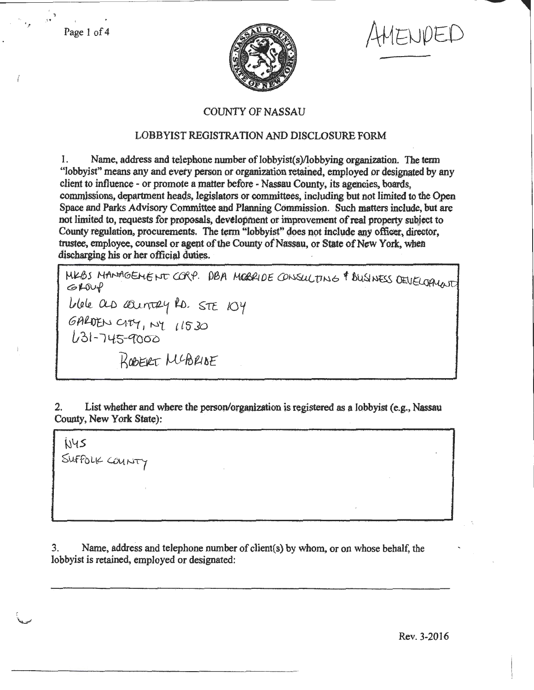Page 1 of 4



ENDED

## **COUNTY OF NASSAU**

## **LOBBYIST REGISTRATION AND DISCLOSURE FORM**

Name, address and telephone number of lobbyist(s)/lobbying organization. The term 1. "lobbyist" means any and every person or organization retained, employed or designated by any client to influence - or promote a matter before - Nassau County, its agencies, boards, commissions, department heads, legislators or committees, including but not limited to the Open Space and Parks Advisory Committee and Planning Commission. Such matters include, but are not limited to, requests for proposals, development or improvement of real property subject to County regulation, procurements. The term "lobbyist" does not include any officer, director, trustee, employee, counsel or agent of the County of Nassau, or State of New York, when discharging his or her official duties.

MKBS MANAGEMENT CORP. DBA MOBRIDE CONSULTING & BUSINESS DEVELOPIUNT  $GLOW$ Uble as country to. STE 104<br>GALDEN CITY, NY 11530<br>U31-745-9000 ROBERT MCBRISE

List whether and where the person/organization is registered as a lobbyist (e.g., Nassau 2. County, New York State):

N45 SUFFOLK COUNTY

Name, address and telephone number of client(s) by whom, or on whose behalf, the 3. lobbyist is retained, employed or designated: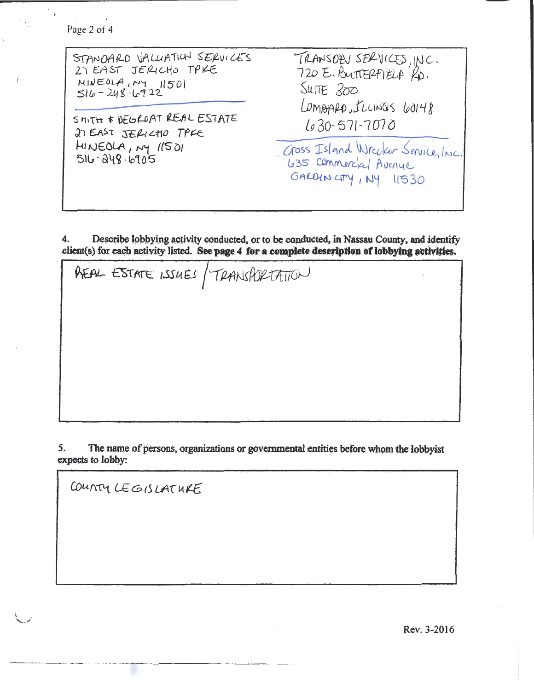Page 2 of 4

| STANDARD VALUATION SERVICES<br>27 EAST JERICHO TPKE<br>NINEOLA, NY 11501<br>$516 - 248.6922$<br>SMITH & DEGROAT REAL ESTATE<br>27 EAST JERICHO TPFE<br>MINEOLA, MY 11501<br>516-248-6905 | TRANSOEN SERVICES, INC.<br>720 E. BUTTERFIELA KD.<br>SUITE 200<br>LOMBARD, ILLINOS 60148<br>$630 - 571 - 7070$ |
|------------------------------------------------------------------------------------------------------------------------------------------------------------------------------------------|----------------------------------------------------------------------------------------------------------------|
|                                                                                                                                                                                          | Goss Island Wrecker Service, Inc.<br>635 Commercial Avenue<br>GALDINGTY, NY 11530                              |

Describe lobbying activity conducted, or to be conducted, in Nassau County, and identify 4. client(s) for each activity listed. See page 4 for a complete description of lobbying activities.

REAL ESTATE ISSUES / TRANSPORTATION

The name of persons, organizations or governmental entities before whom the lobbyist 5. expects to lobby:

COUNTY LEGISLATURE

Rev. 3-2016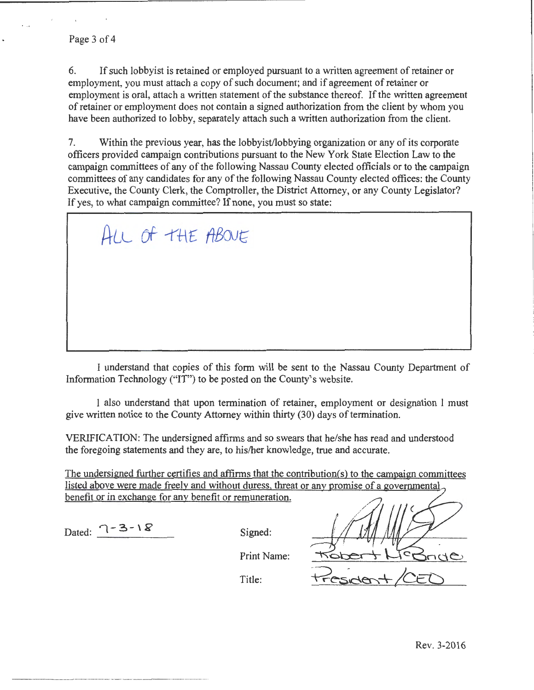6. If such lobbyist is retained or employed pursuant to a written agreement of retainer or employment, you must attach a copy of such document; and if agreement of retainer or employment is oral, attach a written statement of the substance thereof. If the written agreement of retainer or employment does not contain a signed authorization from the client by whom you have been authorized to lobby, separately attach such a written authorization from the client.

7. Within the previous year, has the lobbyist/lobbying organization or any of its corporate officers provided campaign contributions pursuant to the New York State Election Law to the campaign committees of any of the following Nassau County elected officials or to the campaign committees of any candidates tor any of the following Nassau County elected offices: the County Executive, the County Clerk, the Comptroller, the District Attorney, or any County Legislator? If yes, to what campaign committee? If none, you must so state:

ALL OF THE ABOVE

I understand that copies of this form will be sent to the Nassau County Department of Information Technology ("IT") to be posted on the County's website.

I also understand that upon termination of retainer, employment or designation I must give written notice to the County Attorney within thirty (30) days of termination.

VERIFICATION: The undersigned affirms and so swears that he/she has read and understood the foregoing statements and they are, to his/her knowledge, true and accurate.

The undersigned further certifies and affirms that the contribution(s) to the campaign committees listed above were made freely and without duress, threat or any promise of a governmental benefit or in exchange for any benefit or remuneration.

Dated:  $7-3-1$   $8$  Signed:

Print Name:

Title: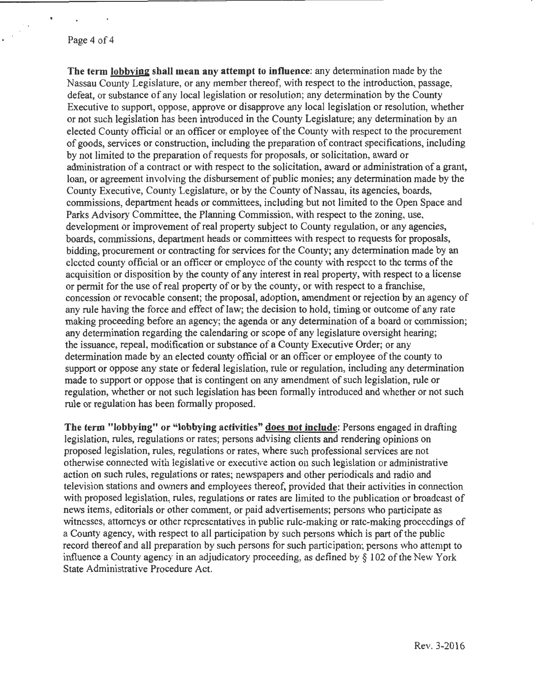The term lobbying shall mean any attempt to influence: any determination made by the Nassau County Legislature. or any member thereof, with respect to the introduction, passage, defeat, or substance of any local legislation or resolution; any determination by the County Executive to support, oppose, approve or disapprove any local legislation or resolution, whether or not such legislation bas been introduced in the County Legislature; any determination by an elected County official or an officer or employee of the County with respect to the procurement of goods, services or construction, including the preparation of contract specifications, including by not limited to the preparation of requests for proposals, or solicitation, award or administration of a contract or with respect to the solicitation, award or administration of a grant, loan, or agreement involving the disbursement of public monies; any determination made by the County Executive, County Legislature, or by the County of Nassau, its agencies, boards, commissions, department heads or committees, including but not limited to the Open Space and Parks Advisory Committee, the Planning Commission, with respect to the zoning, use, development or improvement of real property subject to County regulation, or any agencies, boards, commissions, department heads or committees with respect to requests for proposals, bidding, procurement or contracting for services for the County; any determination made by an elected county official or an officer or employee of the county with respect to the terms of the acquisition or disposition by the county of any interest in real property, with respect to a license or permit for the use of real property of or by the county, or with respect to a franchise, concession or revocable consent; the proposal, adoption, amendment or rejection by an agency of any rule having the force and effect of law; the decision to hold, timing or outcome of any rate making proceeding before an agency; the agenda or any determination of a board or commission; any determination regarding the calendaring or scope of any legislature oversight hearing; the issuance, repeal, modification or substance of a County Executive Order; or any determination made by an elected county official or an officer or employee of the county to support or oppose any state or federal legislation, rule or regulation, including any determination made to support or oppose that is contingent on any amendment of such legislation, rule or regulation, whether or not such legislation has been formally introduced and whether or not such rule or regulation has been formally proposed.

The term "lobbying" or "lobbying activities" does not include: Persons engaged in drafting legislation, rules, regulations or rates; persons advising clients and rendering opinions on proposed legislation, rules, regulations or rates, where such professional services are not otherwise connected with legislative or executive action on such legislation or administrative action on such rules, regulations or rates; newspapers and other periodicals and radio and television stations and owners and employees thereof, provided that their activities in connection with proposed legislation, rules, regulations or rates are limited to the publication or broadcast of news items, editorials or other comment, or paid advertisements; persons who participate as witnesses, attorneys or other representatives in public rule-making or rate-making proceedings of a County agency, with respect to all participation by such persons which is part of the public record thereof and all preparation by such persons for such participation; persons who attempt to influence a County agency in an adjudicatory proceeding, as defined by  $\S$  102 of the New York State Administrative Procedure Act.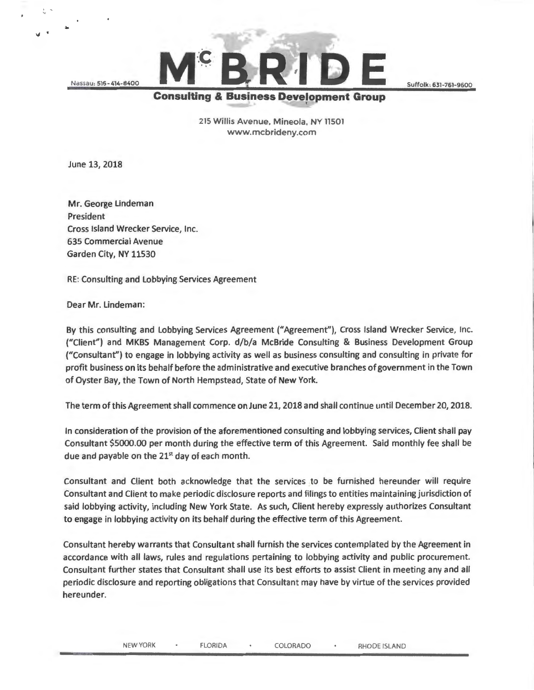Nassau: 516 - 414- 8400

*>J* •

E Suffolk: 631-761-9600<br>Consulting & Business Development Group

215 Willis Avenue, Mineola, NY 11501 www. mcbrideny.com

June 13, 2018

Mr. George Lindeman President Cross Island Wrecker Service, Inc. 635 Commercial Avenue Garden City, NY 11530

RE: Consulting and Lobbying Services Agreement

Dear Mr. Lindeman:

By this consulting and Lobbying Services Agreement ("Agreement"), Cross Island Wrecker Service, Inc. ("Client") and MKBS Management Corp. d/b/a McBride Consulting & Business Development Group ("Consultant") to engage in lobbying activity as well as business consulting and consulting in private for profit business on its behalf before the administrative and executive branches of government in the Town of Oyster Bay, the Town of North Hempstead, State of New York.

The term of this Agreement shall commence on June 21, 2018 and shall continue until December 20, 2018.

In consideration of the provision of the aforementioned consulting and lobbying services, Client shall pay Consultant \$5000.00 per month during the effective term of this Agreement. Said monthly fee shall be due and payable on the  $21<sup>st</sup>$  day of each month.

Consultant and Client both acknowledge that the services to be furnished hereunder will require Consultant and Client to make periodic disclosure reports and filings to entities maintaining jurisdiction of said lobbying activity, including New York State. As such, Client hereby expressly authorizes Consultant to engage in lobbying activity on its behalf during the effective term of this Agreement.

Consultant hereby warrants that Consultant shall furnish the services contemplated by the Agreement in accordance with all laws, rules and regulations pertaining to lobbying activity and public procurement. Consultant further states that Consultant shall use its best efforts to assist Client in meeting any and all periodic disclosure and reporting obligations that Consultant may have by virtue of the services provided hereunder.

NEW YORK · FLORIDA · COLORADO · RHODE ISLAND